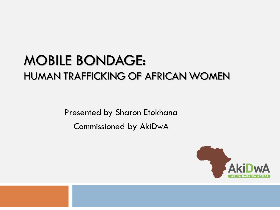## MOBILE BONDAGE: HUMAN TRAFFICKING OF AFRICAN WOMEN

Presented by Sharon Etokhana Commissioned by AkiDwA

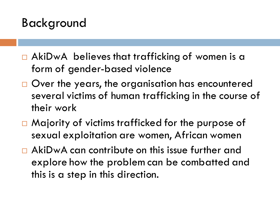## Background

- □ AkiDwA believes that trafficking of women is a form of gender-based violence
- □ Over the years, the organisation has encountered several victims of human trafficking in the course of their work
- $\Box$  Majority of victims trafficked for the purpose of sexual exploitation are women, African women
- □ AkiDwA can contribute on this issue further and explore how the problem can be combatted and this is a step in this direction.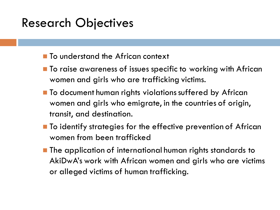## Research Objectives

- To understand the African context
- To raise awareness of issues specific to working with African women and girls who are trafficking victims.
- To document human rights violations suffered by African women and girls who emigrate, in the countries of origin, transit, and destination.
- To identify strategies for the effective prevention of African women from been trafficked
- The application of international human rights standards to AkiDwA's work with African women and girls who are victims or alleged victims of human trafficking.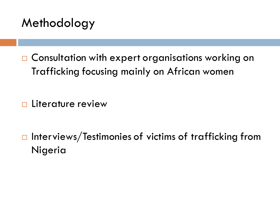## Methodology

□ Consultation with expert organisations working on Trafficking focusing mainly on African women

**Literature review** 

 $\Box$  Interviews/Testimonies of victims of trafficking from Nigeria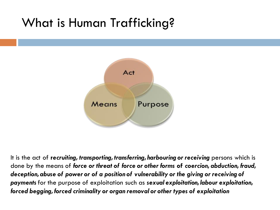## What is Human Trafficking?



It is the act of **r***ecruiting, transporting, transferring, harbouring or receiving* persons which is done by the means of *force or threat of force or other forms* **of** *coercion, abduction, fraud, deception, abuse of power or of a position of vulnerability or the giving or receiving of payments* for the purpose of exploitation such as *sexual exploitation, labour exploitation, forced begging, forced criminality or organ removal or other types of exploitation*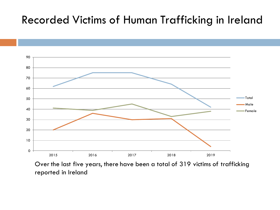#### Recorded Victims of Human Trafficking in Ireland



Over the last five years, there have been a total of 319 victims of trafficking reported in Ireland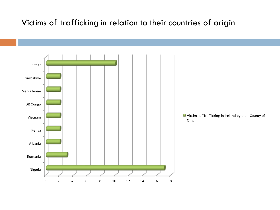#### Victims of trafficking in relation to their countries of origin

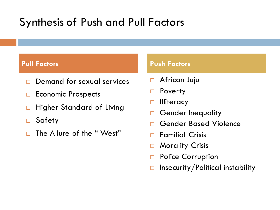## Synthesis of Push and Pull Factors

- Demand for sexual services
- $\Box$  Economic Prospects
- **Higher Standard of Living**
- Safety
- □ The Allure of the "West"

#### **Pull Factors Push Factors**

- **D** African Juju
- □ Poverty
- **Illiteracy**
- Gender Inequality
- Gender Based Violence
- $\Box$  Familial Crisis
- □ Morality Crisis
- □ Police Corruption
- $\Box$  Insecurity/Political instability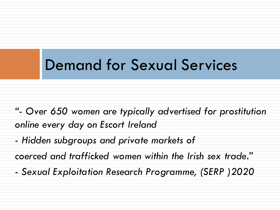## Demand for Sexual Services

*"- Over 650 women are typically advertised for prostitution online every day on Escort Ireland* 

*- Hidden subgroups and private markets of*

*coerced and trafficked women within the Irish sex trade."*

*- Sexual Exploitation Research Programme, (SERP )2020*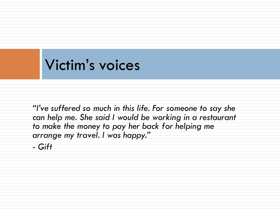## Victim's voices

*"I've suffered so much in this life. For someone to say she can help me. She said I would be working in a restaurant to make the money to pay her back for helping me arrange my travel. I was happy."*

*- Gift*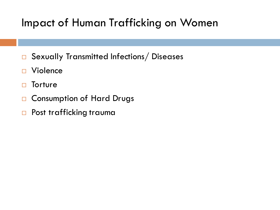## Impact of Human Trafficking on Women

- □ Sexually Transmitted Infections/Diseases
- □ Violence
- □ Torture
- □ Consumption of Hard Drugs
- □ Post trafficking trauma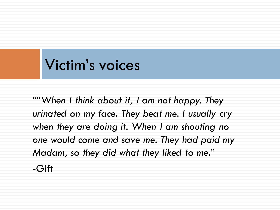## Victim's voices

*"*"*When I think about it, I am not happy. They urinated on my face. They beat me. I usually cry when they are doing it. When I am shouting no one would come and save me. They had paid my Madam, so they did what they liked to me*." -Gift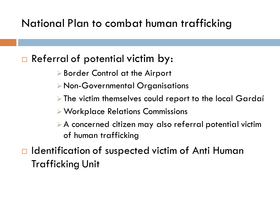#### National Plan to combat human trafficking

#### □ Referral of potential victim by:

- ➢ Border Control at the Airport
- ➢ Non-Governmental Organisations
- ➢ The victim themselves could report to the local Gardaí
- ➢Workplace Relations Commissions
- ➢ A concerned citizen may also referral potential victim of human trafficking
- $\Box$  Identification of suspected victim of Anti Human Trafficking Unit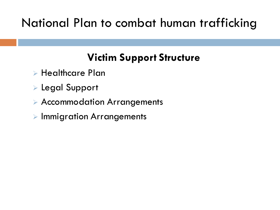## National Plan to combat human trafficking

### **Victim Support Structure**

- ➢ Healthcare Plan
- ➢ Legal Support
- ➢ Accommodation Arrangements
- ➢ Immigration Arrangements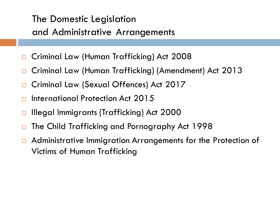#### The Domestic Legislation and Administrative Arrangements

- Criminal Law (Human Trafficking) Act 2008
- Criminal Law (Human Trafficking) (Amendment) Act 2013
- Criminal Law (Sexual Offences) Act 2017
- International Protection Act 2015
- □ Illegal Immigrants (Trafficking) Act 2000
- The Child Trafficking and Pornography Act 1998
- □ Administrative Immigration Arrangements for the Protection of Victims of Human Trafficking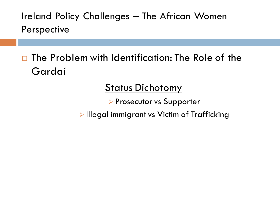Ireland Policy Challenges – The African Women Perspective

 $\Box$  The Problem with Identification: The Role of the Gardaí

#### **Status Dichotomy**

➢ Prosecutor vs Supporter

➢ Illegal immigrant vs Victim of Trafficking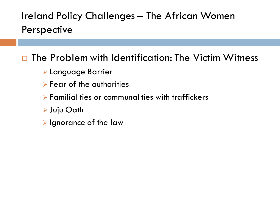#### Ireland Policy Challenges – The African Women Perspective

#### $\square$  The Problem with Identification: The Victim Witness

- ➢ Language Barrier
- $\triangleright$  Fear of the authorities
- ➢ Familial ties or communal ties with traffickers
- ➢ Juju Oath
- ➢ Ignorance of the law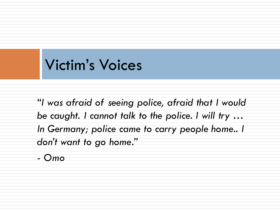## Victim's Voices

*"I was afraid of seeing police, afraid that I would be caught. I cannot talk to the police. I will try … In Germany; police came to carry people home.. I don't want to go home."* 

*- Omo*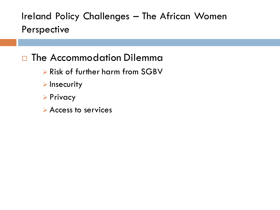Ireland Policy Challenges – The African Women Perspective

#### □ The Accommodation Dilemma

- ➢ Risk of further harm from SGBV
- ➢ Insecurity
- ➢ Privacy
- ➢ Access to services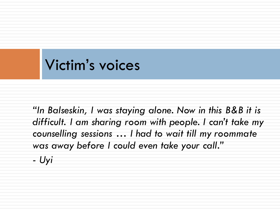## Victim's voices

*"In Balseskin, I was staying alone. Now in this B&B it is difficult. I am sharing room with people. I can't take my counselling sessions … I had to wait till my roommate was away before I could even take your call." - Uyi*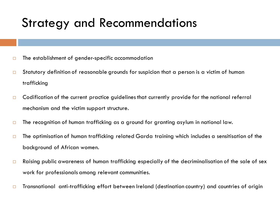## Strategy and Recommendations

- $\Box$  The establishment of gender-specific accommodation
- Statutory definition of reasonable grounds for suspicion that a person is a victim of human trafficking
- $\Box$  Codification of the current practice quidelines that currently provide for the national referral mechanism and the victim support structure.
- $\square$  The recognition of human trafficking as a ground for granting asylum in national law.
- $\Box$  The optimisation of human trafficking related Garda training which includes a sensitisation of the background of African women.
- $\square$  Raising public awareness of human trafficking especially of the decriminalisation of the sale of sex work for professionals among relevant communities.
- □ Transnational anti-trafficking effort between Ireland (destination country) and countries of origin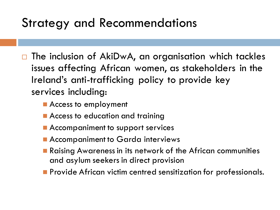## Strategy and Recommendations

- $\Box$  The inclusion of AkiDwA, an organisation which tackles issues affecting African women, as stakeholders in the Ireland's anti-trafficking policy to provide key services including:
	- Access to employment
	- Access to education and training
	- Accompaniment to support services
	- Accompaniment to Garda interviews
	- Raising Awareness in its network of the African communities and asylum seekers in direct provision
	- Provide African victim centred sensitization for professionals.